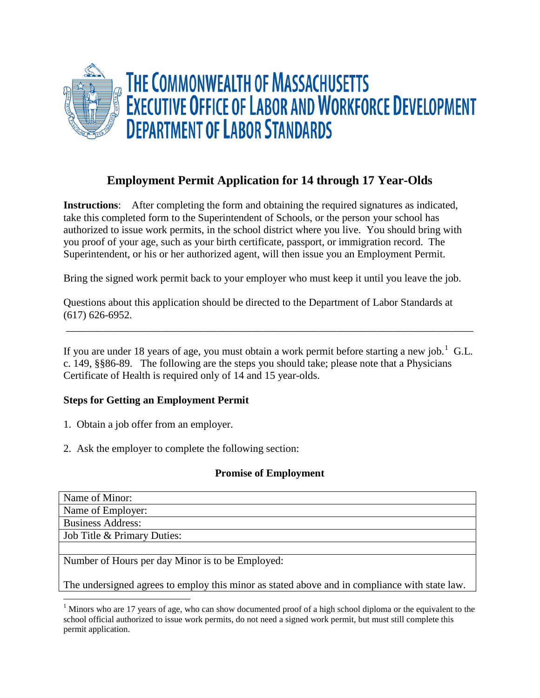

# **Employment Permit Application for 14 through 17 Year-Olds**

**Instructions**: After completing the form and obtaining the required signatures as indicated, take this completed form to the Superintendent of Schools, or the person your school has authorized to issue work permits, in the school district where you live. You should bring with you proof of your age, such as your birth certificate, passport, or immigration record. The Superintendent, or his or her authorized agent, will then issue you an Employment Permit.

Bring the signed work permit back to your employer who must keep it until you leave the job.

Questions about this application should be directed to the Department of Labor Standards at (617) 626-6952.

If you are under [1](#page-0-0)8 years of age, you must obtain a work permit before starting a new job.<sup>1</sup> G.L. c. 149, §§86-89. The following are the steps you should take; please note that a Physicians Certificate of Health is required only of 14 and 15 year-olds.

\_\_\_\_\_\_\_\_\_\_\_\_\_\_\_\_\_\_\_\_\_\_\_\_\_\_\_\_\_\_\_\_\_\_\_\_\_\_\_\_\_\_\_\_\_\_\_\_\_\_\_\_\_\_\_\_\_\_\_\_\_\_\_\_\_\_\_\_\_\_\_\_\_\_\_\_\_

# **Steps for Getting an Employment Permit**

- 1. Obtain a job offer from an employer.
- 2. Ask the employer to complete the following section:

# **Promise of Employment**

| Name of Minor:                                                                                |
|-----------------------------------------------------------------------------------------------|
| Name of Employer:                                                                             |
| <b>Business Address:</b>                                                                      |
| Job Title & Primary Duties:                                                                   |
|                                                                                               |
| Number of Hours per day Minor is to be Employed:                                              |
|                                                                                               |
| The undersigned agrees to employ this minor as stated above and in compliance with state law. |

<span id="page-0-0"></span><sup>&</sup>lt;sup>1</sup> Minors who are 17 years of age, who can show documented proof of a high school diploma or the equivalent to the school official authorized to issue work permits, do not need a signed work permit, but must still complete this permit application.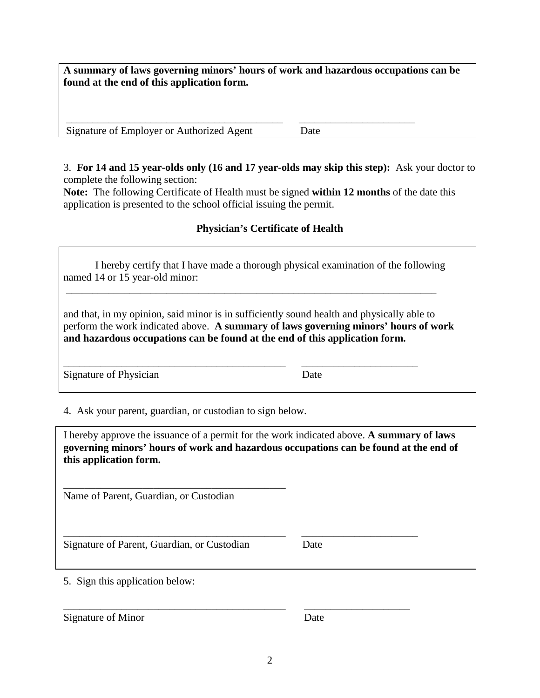**A summary of laws governing minors' hours of work and hazardous occupations can be found at the end of this application form.**

\_\_\_\_\_\_\_\_\_\_\_\_\_\_\_\_\_\_\_\_\_\_\_\_\_\_\_\_\_\_\_\_\_\_\_\_\_\_\_\_\_ \_\_\_\_\_\_\_\_\_\_\_\_\_\_\_\_\_\_\_\_\_\_ Signature of Employer or Authorized Agent Date

3. **For 14 and 15 year-olds only (16 and 17 year-olds may skip this step):** Ask your doctor to complete the following section:

**Note:** The following Certificate of Health must be signed **within 12 months** of the date this application is presented to the school official issuing the permit.

# **Physician's Certificate of Health**

| I hereby certify that I have made a thorough physical examination of the following |  |
|------------------------------------------------------------------------------------|--|
| named 14 or 15 year-old minor:                                                     |  |

\_\_\_\_\_\_\_\_\_\_\_\_\_\_\_\_\_\_\_\_\_\_\_\_\_\_\_\_\_\_\_\_\_\_\_\_\_\_\_\_\_\_\_\_\_\_\_\_\_\_\_\_\_\_\_\_\_\_\_\_\_\_\_\_\_\_\_\_\_\_

and that, in my opinion, said minor is in sufficiently sound health and physically able to perform the work indicated above. **A summary of laws governing minors' hours of work and hazardous occupations can be found at the end of this application form.**

\_\_\_\_\_\_\_\_\_\_\_\_\_\_\_\_\_\_\_\_\_\_\_\_\_\_\_\_\_\_\_\_\_\_\_\_\_\_\_\_\_\_ \_\_\_\_\_\_\_\_\_\_\_\_\_\_\_\_\_\_\_\_\_\_ Signature of Physician Date

4. Ask your parent, guardian, or custodian to sign below.

I hereby approve the issuance of a permit for the work indicated above. **A summary of laws governing minors' hours of work and hazardous occupations can be found at the end of this application form.**

\_\_\_\_\_\_\_\_\_\_\_\_\_\_\_\_\_\_\_\_\_\_\_\_\_\_\_\_\_\_\_\_\_\_\_\_\_\_\_\_\_\_ \_\_\_\_\_\_\_\_\_\_\_\_\_\_\_\_\_\_\_\_\_\_

\_\_\_\_\_\_\_\_\_\_\_\_\_\_\_\_\_\_\_\_\_\_\_\_\_\_\_\_\_\_\_\_\_\_\_\_\_\_\_\_\_\_ \_\_\_\_\_\_\_\_\_\_\_\_\_\_\_\_\_\_\_\_

\_\_\_\_\_\_\_\_\_\_\_\_\_\_\_\_\_\_\_\_\_\_\_\_\_\_\_\_\_\_\_\_\_\_\_\_\_\_\_\_\_\_ Name of Parent, Guardian, or Custodian

Signature of Parent, Guardian, or Custodian Date

5. Sign this application below:

Signature of Minor Date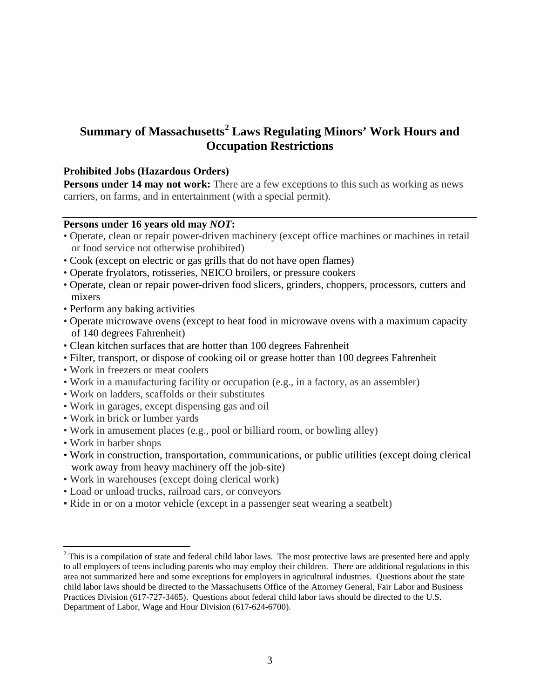# **Summary of Massachusetts[2](#page-2-0) Laws Regulating Minors' Work Hours and Occupation Restrictions**

#### **Prohibited Jobs (Hazardous Orders)**

**Persons under 14 may not work:** There are a few exceptions to this such as working as news carriers, on farms, and in entertainment (with a special permit).

#### **Persons under 16 years old may** *NOT***:**

- Operate, clean or repair power-driven machinery (except office machines or machines in retail or food service not otherwise prohibited)
- Cook (except on electric or gas grills that do not have open flames)
- Operate fryolators, rotisseries, NEICO broilers, or pressure cookers
- Operate, clean or repair power-driven food slicers, grinders, choppers, processors, cutters and mixers
- Perform any baking activities
- Operate microwave ovens (except to heat food in microwave ovens with a maximum capacity of 140 degrees Fahrenheit)
- Clean kitchen surfaces that are hotter than 100 degrees Fahrenheit
- Filter, transport, or dispose of cooking oil or grease hotter than 100 degrees Fahrenheit
- Work in freezers or meat coolers
- Work in a manufacturing facility or occupation (e.g., in a factory, as an assembler)
- Work on ladders, scaffolds or their substitutes
- Work in garages, except dispensing gas and oil
- Work in brick or lumber yards
- Work in amusement places (e.g., pool or billiard room, or bowling alley)
- Work in barber shops
- Work in construction, transportation, communications, or public utilities (except doing clerical work away from heavy machinery off the job-site)
- Work in warehouses (except doing clerical work)
- Load or unload trucks, railroad cars, or conveyors
- Ride in or on a motor vehicle (except in a passenger seat wearing a seatbelt)

<span id="page-2-0"></span><sup>&</sup>lt;sup>2</sup> This is a compilation of state and federal child labor laws. The most protective laws are presented here and apply to all employers of teens including parents who may employ their children. There are additional regulations in this area not summarized here and some exceptions for employers in agricultural industries. Questions about the state child labor laws should be directed to the Massachusetts Office of the Attorney General, Fair Labor and Business Practices Division (617-727-3465). Questions about federal child labor laws should be directed to the U.S. Department of Labor, Wage and Hour Division (617-624-6700).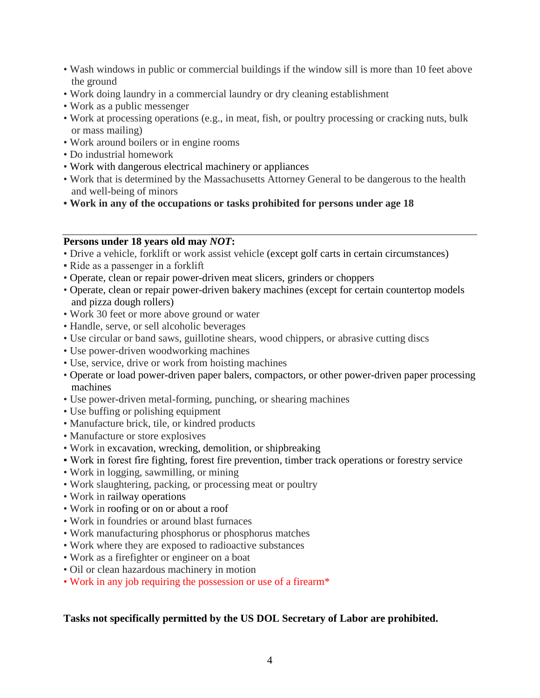- Wash windows in public or commercial buildings if the window sill is more than 10 feet above the ground
- Work doing laundry in a commercial laundry or dry cleaning establishment
- Work as a public messenger
- Work at processing operations (e.g., in meat, fish, or poultry processing or cracking nuts, bulk or mass mailing)
- Work around boilers or in engine rooms
- Do industrial homework
- Work with dangerous electrical machinery or appliances
- Work that is determined by the Massachusetts Attorney General to be dangerous to the health and well-being of minors
- **Work in any of the occupations or tasks prohibited for persons under age 18**

#### **Persons under 18 years old may** *NOT***:**

- Drive a vehicle, forklift or work assist vehicle (except golf carts in certain circumstances)
- Ride as a passenger in a forklift
- Operate, clean or repair power-driven meat slicers, grinders or choppers
- Operate, clean or repair power-driven bakery machines (except for certain countertop models and pizza dough rollers)
- Work 30 feet or more above ground or water
- Handle, serve, or sell alcoholic beverages
- Use circular or band saws, guillotine shears, wood chippers, or abrasive cutting discs
- Use power-driven woodworking machines
- Use, service, drive or work from hoisting machines
- Operate or load power-driven paper balers, compactors, or other power-driven paper processing machines
- Use power-driven metal-forming, punching, or shearing machines
- Use buffing or polishing equipment
- Manufacture brick, tile, or kindred products
- Manufacture or store explosives
- Work in excavation, wrecking, demolition, or shipbreaking
- Work in forest fire fighting, forest fire prevention, timber track operations or forestry service
- Work in logging, sawmilling, or mining
- Work slaughtering, packing, or processing meat or poultry
- Work in railway operations
- Work in roofing or on or about a roof
- Work in foundries or around blast furnaces
- Work manufacturing phosphorus or phosphorus matches
- Work where they are exposed to radioactive substances
- Work as a firefighter or engineer on a boat
- Oil or clean hazardous machinery in motion
- Work in any job requiring the possession or use of a firearm\*

#### **Tasks not specifically permitted by the US DOL Secretary of Labor are prohibited.**